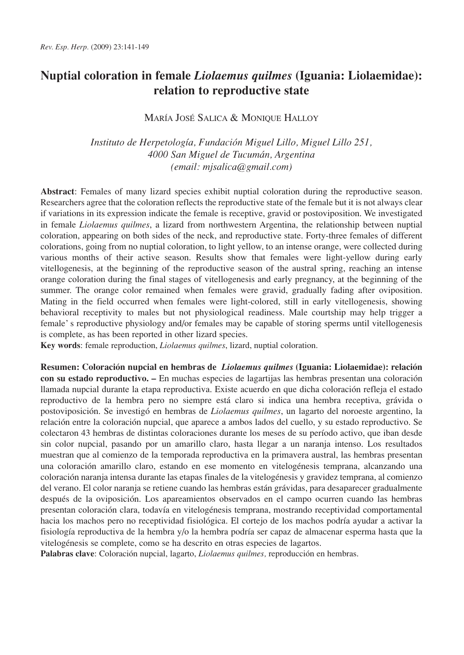# **Nuptial coloration in female** *Liolaemus quilmes* **(Iguania: Liolaemidae): relation to reproductive state**

# MARÍA JOSÉ SALICA & MONIQUE HALLOY

*Instituto de Herpetología, Fundación Miguel Lillo, Miguel Lillo 251, 4000 San Miguel de Tucumán, Argentina (email: mjsalica@gmail.com)*

**Abstract**: Females of many lizard species exhibit nuptial coloration during the reproductive season. Researchers agree that the coloration reflects the reproductive state of the female but it is not always clear if variations in its expression indicate the female is receptive, gravid or postoviposition. We investigated in female *Liolaemus quilmes*, a lizard from northwestern Argentina, the relationship between nuptial coloration, appearing on both sides of the neck, and reproductive state. Forty-three females of different colorations, going from no nuptial coloration, to light yellow, to an intense orange, were collected during various months of their active season. Results show that females were light-yellow during early vitellogenesis, at the beginning of the reproductive season of the austral spring, reaching an intense orange coloration during the final stages of vitellogenesis and early pregnancy, at the beginning of the summer. The orange color remained when females were gravid, gradually fading after oviposition. Mating in the field occurred when females were light-colored, still in early vitellogenesis, showing behavioral receptivity to males but not physiological readiness. Male courtship may help trigger a female' s reproductive physiology and/or females may be capable of storing sperms until vitellogenesis is complete, as has been reported in other lizard species.

**Key words**: female reproduction, *Liolaemus quilmes*, lizard, nuptial coloration.

**Resumen: Coloración nupcial en hembras de** *Liolaemus quilmes* **(Iguania: Liolaemidae): relación con su estado reproductivo. –** En muchas especies de lagartijas las hembras presentan una coloración llamada nupcial durante la etapa reproductiva. Existe acuerdo en que dicha coloración refleja el estado reproductivo de la hembra pero no siempre está claro si indica una hembra receptiva, grávida o postoviposición. Se investigó en hembras de *Liolaemus quilmes*, un lagarto del noroeste argentino, la relación entre la coloración nupcial, que aparece a ambos lados del cuello, y su estado reproductivo. Se colectaron 43 hembras de distintas coloraciones durante los meses de su período activo, que iban desde sin color nupcial, pasando por un amarillo claro, hasta llegar a un naranja intenso. Los resultados muestran que al comienzo de la temporada reproductiva en la primavera austral, las hembras presentan una coloración amarillo claro, estando en ese momento en vitelogénesis temprana, alcanzando una coloración naranja intensa durante las etapas finales de la vitelogénesis y gravidez temprana, al comienzo del verano. El color naranja se retiene cuando las hembras están grávidas, para desaparecer gradualmente después de la oviposición. Los apareamientos observados en el campo ocurren cuando las hembras presentan coloración clara, todavía en vitelogénesis temprana, mostrando receptividad comportamental hacia los machos pero no receptividad fisiológica. El cortejo de los machos podría ayudar a activar la fisiología reproductiva de la hembra y/o la hembra podría ser capaz de almacenar esperma hasta que la vitelogénesis se complete, como se ha descrito en otras especies de lagartos.

**Palabras clave**: Coloración nupcial, lagarto, *Liolaemus quilmes,* reproducción en hembras.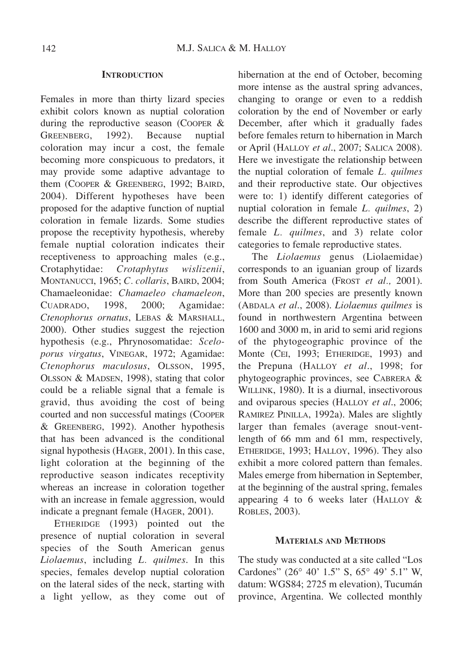#### **INTRODUCTION**

Females in more than thirty lizard species exhibit colors known as nuptial coloration during the reproductive season (COOPER & GREENBERG, 1992). Because nuptial coloration may incur a cost, the female becoming more conspicuous to predators, it may provide some adaptive advantage to them (COOPER & GREENBERG, 1992; BAIRD, 2004). Different hypotheses have been proposed for the adaptive function of nuptial coloration in female lizards. Some studies propose the receptivity hypothesis, whereby female nuptial coloration indicates their receptiveness to approaching males (e.g., Crotaphytidae: *Crotaphytus wislizenii*, MONTANUCCI, 1965; *C. collaris*, BAIRD, 2004; Chamaeleonidae: *Chamaeleo chamaeleon*, CUADRADO, 1998, 2000; Agamidae: *Ctenophorus ornatus*, LEBAS & MARSHALL, 2000). Other studies suggest the rejection hypothesis (e.g., Phrynosomatidae: *Sceloporus virgatus*, VINEGAR, 1972; Agamidae: *Ctenophorus maculosus*, OLSSON, 1995, OLSSON & MADSEN, 1998), stating that color could be a reliable signal that a female is gravid, thus avoiding the cost of being courted and non successful matings (COOPER & GREENBERG, 1992). Another hypothesis that has been advanced is the conditional signal hypothesis (HAGER, 2001). In this case, light coloration at the beginning of the reproductive season indicates receptivity whereas an increase in coloration together with an increase in female aggression, would indicate a pregnant female (HAGER, 2001).

ETHERIDGE (1993) pointed out the presence of nuptial coloration in several species of the South American genus *Liolaemus*, including *L. quilmes*. In this species, females develop nuptial coloration on the lateral sides of the neck, starting with a light yellow, as they come out of hibernation at the end of October, becoming more intense as the austral spring advances, changing to orange or even to a reddish coloration by the end of November or early December, after which it gradually fades before females return to hibernation in March or April (HALLOY *et al*., 2007; SALICA 2008). Here we investigate the relationship between the nuptial coloration of female *L. quilmes* and their reproductive state. Our objectives were to: 1) identify different categories of nuptial coloration in female *L. quilmes*, 2) describe the different reproductive states of female *L. quilmes*, and 3) relate color categories to female reproductive states.

The *Liolaemus* genus (Liolaemidae) corresponds to an iguanian group of lizards from South America (FROST *et al.,* 2001). More than 200 species are presently known (ABDALA *et al*., 2008). *Liolaemus quilmes* is found in northwestern Argentina between 1600 and 3000 m, in arid to semi arid regions of the phytogeographic province of the Monte (CEI, 1993; ETHERIDGE, 1993) and the Prepuna (HALLOY *et al*., 1998; for phytogeographic provinces, see CABRERA & WILLINK, 1980). It is a diurnal, insectivorous and oviparous species (HALLOY *et al*., 2006; RAMIREZ PINILLA, 1992a). Males are slightly larger than females (average snout-ventlength of 66 mm and 61 mm, respectively, ETHERIDGE, 1993; HALLOY, 1996). They also exhibit a more colored pattern than females. Males emerge from hibernation in September, at the beginning of the austral spring, females appearing 4 to 6 weeks later (HALLOY & ROBLES, 2003).

## **MATERIALS AND METHODS**

The study was conducted at a site called "Los Cardones" (26° 40' 1.5" S, 65° 49' 5.1" W, datum: WGS84; 2725 m elevation), Tucumán province, Argentina. We collected monthly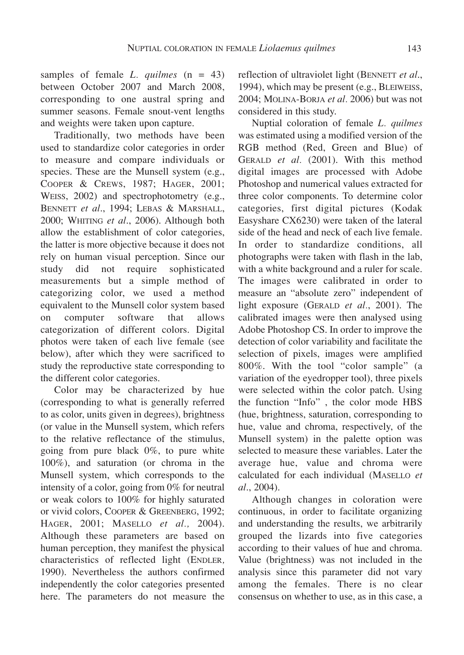samples of female *L. quilmes* (n = 43) between October 2007 and March 2008, corresponding to one austral spring and summer seasons. Female snout-vent lengths and weights were taken upon capture.

Traditionally, two methods have been used to standardize color categories in order to measure and compare individuals or species. These are the Munsell system (e.g., COOPER & CREWS, 1987; HAGER, 2001; WEISS, 2002) and spectrophotometry (e.g., BENNETT *et al*., 1994; LEBAS & MARSHALL, 2000; WHITING *et al*., 2006). Although both allow the establishment of color categories, the latter is more objective because it does not rely on human visual perception. Since our study did not require sophisticated measurements but a simple method of categorizing color, we used a method equivalent to the Munsell color system based on computer software that allows categorization of different colors. Digital photos were taken of each live female (see below), after which they were sacrificed to study the reproductive state corresponding to the different color categories.

Color may be characterized by hue (corresponding to what is generally referred to as color, units given in degrees), brightness (or value in the Munsell system, which refers to the relative reflectance of the stimulus, going from pure black 0%, to pure white 100%), and saturation (or chroma in the Munsell system, which corresponds to the intensity of a color, going from 0% for neutral or weak colors to 100% for highly saturated or vivid colors, COOPER & GREENBERG, 1992; HAGER, 2001; MASELLO *et al.,* 2004). Although these parameters are based on human perception, they manifest the physical characteristics of reflected light (ENDLER*,* 1990). Nevertheless the authors confirmed independently the color categories presented here. The parameters do not measure the reflection of ultraviolet light (BENNETT *et al*., 1994), which may be present (e.g., BLEIWEISS, 2004; MOLINA-BORJA *et al.* 2006) but was not considered in this study.

Nuptial coloration of female *L. quilmes* was estimated using a modified version of the RGB method (Red, Green and Blue) of GERALD *et al.* (2001). With this method digital images are processed with Adobe Photoshop and numerical values extracted for three color components. To determine color categories, first digital pictures (Kodak Easyshare CX6230) were taken of the lateral side of the head and neck of each live female. In order to standardize conditions, all photographs were taken with flash in the lab, with a white background and a ruler for scale. The images were calibrated in order to measure an "absolute zero" independent of light exposure (GERALD *et al.*, 2001). The calibrated images were then analysed using Adobe Photoshop CS. In order to improve the detection of color variability and facilitate the selection of pixels, images were amplified 800%. With the tool "color sample" (a variation of the eyedropper tool), three pixels were selected within the color patch. Using the function "Info" , the color mode HBS (hue, brightness, saturation, corresponding to hue, value and chroma, respectively, of the Munsell system) in the palette option was selected to measure these variables. Later the average hue, value and chroma were calculated for each individual (MASELLO *et al*., 2004).

Although changes in coloration were continuous, in order to facilitate organizing and understanding the results, we arbitrarily grouped the lizards into five categories according to their values of hue and chroma. Value (brightness) was not included in the analysis since this parameter did not vary among the females. There is no clear consensus on whether to use, as in this case, a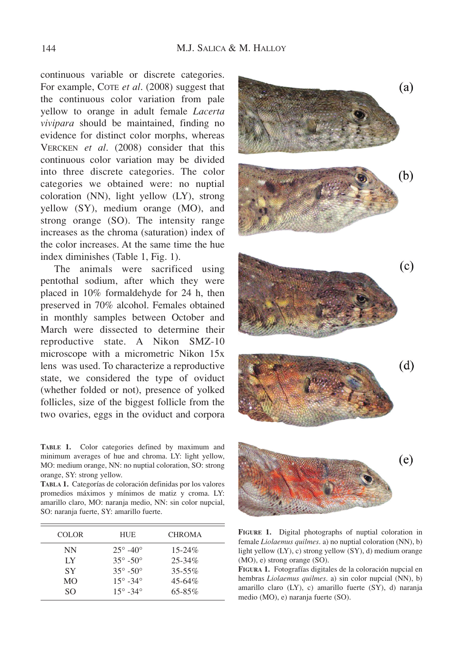continuous variable or discrete categories. For example, COTE *et al*. (2008) suggest that the continuous color variation from pale yellow to orange in adult female *Lacerta vivipara* should be maintained, finding no evidence for distinct color morphs, whereas VERCKEN *et al*. (2008) consider that this continuous color variation may be divided into three discrete categories. The color categories we obtained were: no nuptial coloration (NN), light yellow (LY), strong yellow (SY), medium orange (MO), and strong orange (SO). The intensity range increases as the chroma (saturation) index of the color increases. At the same time the hue index diminishes (Table 1, Fig. 1).

The animals were sacrificed using pentothal sodium, after which they were placed in 10% formaldehyde for 24 h, then preserved in 70% alcohol. Females obtained in monthly samples between October and March were dissected to determine their reproductive state. A Nikon SMZ-10 microscope with a micrometric Nikon 15x lens was used. To characterize a reproductive state, we considered the type of oviduct (whether folded or not), presence of yolked follicles, size of the biggest follicle from the two ovaries, eggs in the oviduct and corpora

**TABLE 1.** Color categories defined by maximum and minimum averages of hue and chroma. LY: light yellow, MO: medium orange, NN: no nuptial coloration, SO: strong orange, SY: strong yellow.

**TABLA 1.** Categorías de coloración definidas por los valores promedios máximos y mínimos de matiz y croma. LY: amarillo claro, MO: naranja medio, NN: sin color nupcial, SO: naranja fuerte, SY: amarillo fuerte.

| <b>HUE</b>                | <b>CHROMA</b> |
|---------------------------|---------------|
| $25^{\circ} - 40^{\circ}$ | $15 - 24\%$   |
| $35^{\circ} - 50^{\circ}$ | $25 - 34\%$   |
| $35^{\circ} - 50^{\circ}$ | $35 - 55\%$   |
| $15^{\circ} - 34^{\circ}$ | $45 - 64\%$   |
| $15^{\circ} - 34^{\circ}$ | $65 - 85\%$   |
|                           |               |



**FIGURE 1.** Digital photographs of nuptial coloration in female *Liolaemus quilmes*. a) no nuptial coloration (NN), b) light yellow (LY), c) strong yellow (SY), d) medium orange (MO), e) strong orange (SO).

**FIGURA 1.** Fotografías digitales de la coloración nupcial en hembras *Liolaemus quilmes*. a) sin color nupcial (NN), b) amarillo claro (LY), c) amarillo fuerte (SY), d) naranja medio (MO), e) naranja fuerte (SO).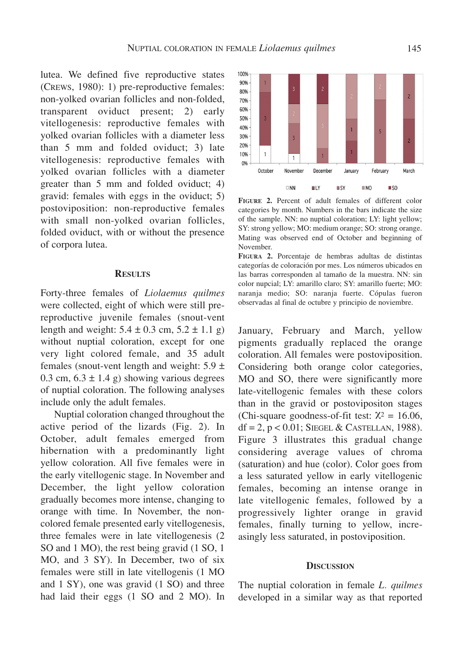lutea. We defined five reproductive states (CREWS, 1980): 1) pre-reproductive females: non-yolked ovarian follicles and non-folded, transparent oviduct present; 2) early vitellogenesis: reproductive females with yolked ovarian follicles with a diameter less than 5 mm and folded oviduct; 3) late vitellogenesis: reproductive females with yolked ovarian follicles with a diameter greater than 5 mm and folded oviduct; 4) gravid: females with eggs in the oviduct; 5) postoviposition: non-reproductive females with small non-yolked ovarian follicles, folded oviduct, with or without the presence of corpora lutea.

#### **RESULTS**

Forty-three females of *Liolaemus quilmes* were collected, eight of which were still prereproductive juvenile females (snout-vent length and weight:  $5.4 \pm 0.3$  cm,  $5.2 \pm 1.1$  g) without nuptial coloration, except for one very light colored female, and 35 adult females (snout-vent length and weight:  $5.9 \pm$ 0.3 cm,  $6.3 \pm 1.4$  g) showing various degrees of nuptial coloration. The following analyses include only the adult females.

Nuptial coloration changed throughout the active period of the lizards (Fig. 2). In October, adult females emerged from hibernation with a predominantly light yellow coloration. All five females were in the early vitellogenic stage. In November and December, the light yellow coloration gradually becomes more intense, changing to orange with time. In November, the noncolored female presented early vitellogenesis, three females were in late vitellogenesis (2 SO and 1 MO), the rest being gravid (1 SO, 1 MO, and 3 SY). In December, two of six females were still in late vitellogenis (1 MO and 1 SY), one was gravid (1 SO) and three had laid their eggs (1 SO and 2 MO). In



**FIGURE 2.** Percent of adult females of different color categories by month. Numbers in the bars indicate the size of the sample. NN: no nuptial coloration; LY: light yellow; SY: strong yellow; MO: medium orange; SO: strong orange. Mating was observed end of October and beginning of November.

**FIGURA 2.** Porcentaje de hembras adultas de distintas categorías de coloración por mes. Los números ubicados en las barras corresponden al tamaño de la muestra. NN: sin color nupcial; LY: amarillo claro; SY: amarillo fuerte; MO: naranja medio; SO: naranja fuerte. Cópulas fueron observadas al final de octubre y principio de noviembre.

January, February and March, yellow pigments gradually replaced the orange coloration. All females were postoviposition. Considering both orange color categories, MO and SO, there were significantly more late-vitellogenic females with these colors than in the gravid or postovipositon stages (Chi-square goodness-of-fit test:  $\chi^2 = 16.06$ ,  $df = 2$ ,  $p < 0.01$ ; SIEGEL & CASTELLAN, 1988). Figure 3 illustrates this gradual change considering average values of chroma (saturation) and hue (color). Color goes from a less saturated yellow in early vitellogenic females, becoming an intense orange in late vitellogenic females, followed by a progressively lighter orange in gravid females, finally turning to yellow, increasingly less saturated, in postoviposition.

#### **DISCUSSION**

The nuptial coloration in female *L. quilmes* developed in a similar way as that reported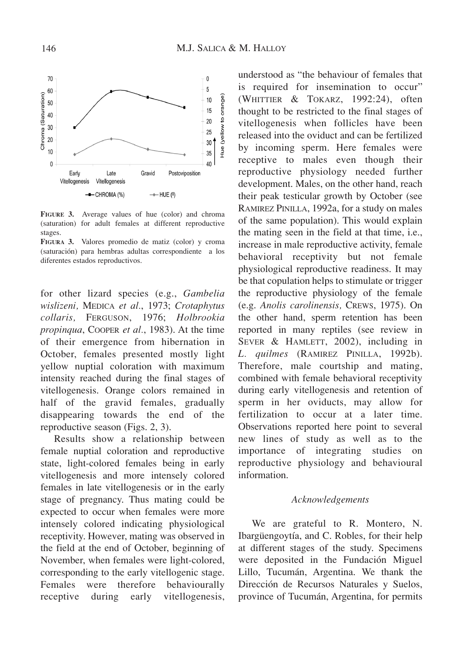

**FIGURE 3.** Average values of hue (color) and chroma (saturation) for adult females at different reproductive stages.

**FIGURA 3.** Valores promedio de matiz (color) y croma (saturación) para hembras adultas correspondiente a los diferentes estados reproductivos.

for other lizard species (e.g., *Gambelia wislizeni,* MEDICA *et al.*, 1973; *Crotaphytus collaris,* FERGUSON, 1976; *Holbrookia propinqua*, COOPER *et al.*, 1983). At the time of their emergence from hibernation in October, females presented mostly light yellow nuptial coloration with maximum intensity reached during the final stages of vitellogenesis. Orange colors remained in half of the gravid females, gradually disappearing towards the end of the reproductive season (Figs. 2, 3).

Results show a relationship between female nuptial coloration and reproductive state, light-colored females being in early vitellogenesis and more intensely colored females in late vitellogenesis or in the early stage of pregnancy. Thus mating could be expected to occur when females were more intensely colored indicating physiological receptivity. However, mating was observed in the field at the end of October, beginning of November, when females were light-colored, corresponding to the early vitellogenic stage. Females were therefore behaviourally receptive during early vitellogenesis,

understood as "the behaviour of females that is required for insemination to occur" (WHITTIER & TOKARZ, 1992:24), often thought to be restricted to the final stages of vitellogenesis when follicles have been released into the oviduct and can be fertilized by incoming sperm. Here females were receptive to males even though their reproductive physiology needed further development. Males, on the other hand, reach their peak testicular growth by October (see RAMIREZ PINILLA, 1992a, for a study on males of the same population). This would explain the mating seen in the field at that time, i.e., increase in male reproductive activity, female behavioral receptivity but not female physiological reproductive readiness. It may be that copulation helps to stimulate or trigger the reproductive physiology of the female (e.g. *Anolis carolinensis,* CREWS, 1975). On the other hand, sperm retention has been reported in many reptiles (see review in SEVER & HAMLETT, 2002), including in *L. quilmes* (RAMIREZ PINILLA, 1992b). Therefore, male courtship and mating, combined with female behavioral receptivity during early vitellogenesis and retention of sperm in her oviducts, may allow for fertilization to occur at a later time. Observations reported here point to several new lines of study as well as to the importance of integrating studies on reproductive physiology and behavioural information.

#### *Acknowledgements*

We are grateful to R. Montero, N. Ibargüengoytía, and C. Robles, for their help at different stages of the study. Specimens were deposited in the Fundación Miguel Lillo, Tucumán, Argentina. We thank the Dirección de Recursos Naturales y Suelos, province of Tucumán, Argentina, for permits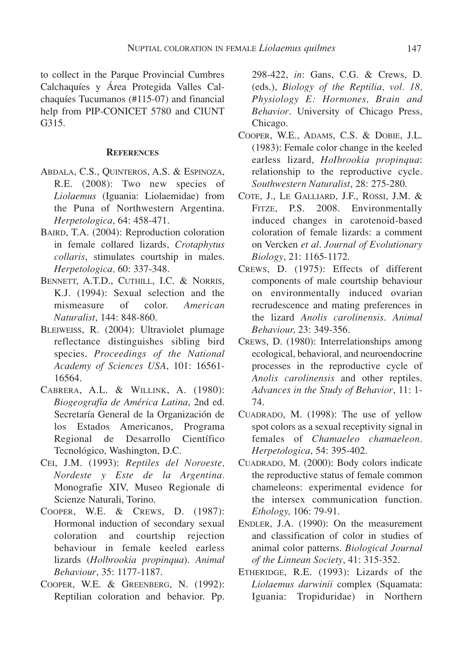to collect in the Parque Provincial Cumbres Calchaquíes y Área Protegida Valles Calchaquíes Tucumanos (#115-07) and financial help from PIP-CONICET 5780 and CIUNT G315.

## **REFERENCES**

- ABDALA, C.S., QUINTEROS, A.S. & ESPINOZA, R.E. (2008): Two new species of *Liolaemus* (Iguania: Liolaemidae) from the Puna of Northwestern Argentina. *Herpetologica*, 64: 458-471.
- BAIRD, T.A. (2004): Reproduction coloration in female collared lizards, *Crotaphytus collaris*, stimulates courtship in males. *Herpetologica,* 60: 337-348.
- BENNETT, A.T.D., CUTHILL, I.C. & NORRIS, K.J. (1994): Sexual selection and the mismeasure of color. *American Naturalist*, 144: 848-860.
- BLEIWEISS, R. (2004): Ultraviolet plumage reflectance distinguishes sibling bird species. *Proceedings of the National Academy of Sciences USA*, 101: 16561- 16564.
- CABRERA, A.L. & WILLINK, A. (1980): *Biogeografía de América Latina*, 2nd ed. Secretaría General de la Organización de los Estados Americanos, Programa Regional de Desarrollo Científico Tecnológico, Washington, D.C.
- CEI, J.M. (1993): *Reptiles del Noroeste, Nordeste y Este de la Argentina.* Monografie XIV, Museo Regionale di Scienze Naturali, Torino.
- COOPER, W.E. & CREWS, D. (1987): Hormonal induction of secondary sexual coloration and courtship rejection behaviour in female keeled earless lizards (*Holbrookia propinqua*). *Animal Behaviour*, 35: 1177-1187.
- COOPER, W.E. & GREENBERG, N. (1992): Reptilian coloration and behavior. Pp.

298-422, *in*: Gans, C.G. & Crews, D. (eds.), *Biology of the Reptilia, vol. 18, Physiology E: Hormones, Brain and Behavior*. University of Chicago Press, Chicago.

- COOPER, W.E., ADAMS, C.S. & DOBIE, J.L. (1983): Female color change in the keeled earless lizard, *HoIbrookia propinqua*: relationship to the reproductive cycle. *Southwestern Naturalist*, 28: 275-280.
- COTE, J., LE GALLIARD, J.F., ROSSI, J.M. & FITZE, P.S. 2008. Environmentally induced changes in carotenoid-based coloration of female lizards: a comment on Vercken *et al*. *Journal of Evolutionary Biology*, 21: 1165-1172.
- CREWS, D. (1975): Effects of different components of male courtship behaviour on environmentally induced ovarian recrudescence and mating preferences in the lizard *Anolis carolinensis*. *Animal Behaviour,* 23: 349-356.
- CREWS, D. (1980): Interrelationships among ecological, behavioral, and neuroendocrine processes in the reproductive cycle of *Anolis carolinensis* and other reptiles. *Advances in the Study of Behavior*, 11: 1- 74.
- CUADRADO, M. (1998): The use of yellow spot colors as a sexual receptivity signal in females of *Chamaeleo chamaeleon*. *Herpetologica*, 54: 395-402.
- CUADRADO, M. (2000): Body colors indicate the reproductive status of female common chameleons: experimental evidence for the intersex communication function. *Ethology,* 106: 79-91.
- ENDLER, J.A. (1990): On the measurement and classification of color in studies of animal color patterns. *Biological Journal of the Linnean Society*, 41: 315-352.
- ETHERIDGE, R.E. (1993): Lizards of the *Liolaemus darwinii* complex (Squamata: Iguania: Tropiduridae) in Northern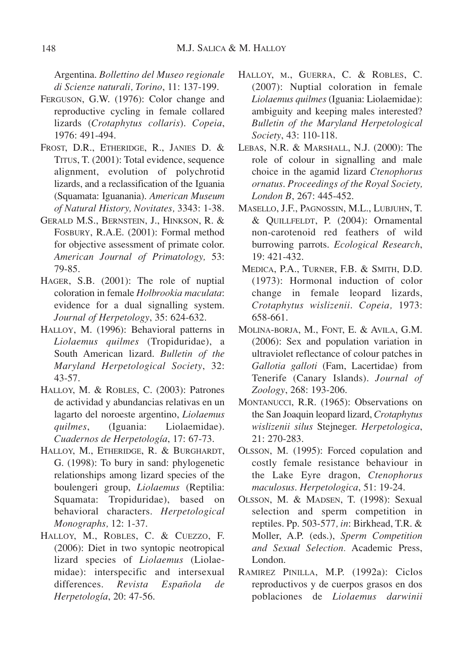Argentina. *Bollettino del Museo regionale di Scienze naturali, Torino*, 11: 137-199.

- FERGUSON, G.W. (1976): Color change and reproductive cycling in female collared lizards (*Crotaphytus collaris*). *Copeia*, 1976: 491-494.
- FROST, D.R., ETHERIDGE, R., JANIES D. & TITUS, T. (2001): Total evidence, sequence alignment, evolution of polychrotid lizards, and a reclassification of the Iguania (Squamata: Iguanania). *American Museum of Natural History, Novitates,* 3343: 1-38.
- GERALD M.S., BERNSTEIN, J., HINKSON, R. & FOSBURY, R.A.E. (2001): Formal method for objective assessment of primate color. *American Journal of Primatology,* 53: 79-85.
- HAGER, S.B. (2001): The role of nuptial coloration in female *Holbrookia maculata*: evidence for a dual signalling system. *Journal of Herpetology*, 35: 624-632.
- HALLOY, M. (1996): Behavioral patterns in *Liolaemus quilmes* (Tropiduridae), a South American lizard. *Bulletin of the Maryland Herpetological Society*, 32: 43-57.
- HALLOY, M. & ROBLES, C. (2003): Patrones de actividad y abundancias relativas en un lagarto del noroeste argentino, *Liolaemus quilmes*, (Iguania: Liolaemidae). *Cuadernos de Herpetología*, 17: 67-73.
- HALLOY, M., ETHERIDGE, R. & BURGHARDT, G. (1998): To bury in sand: phylogenetic relationships among lizard species of the boulengeri group, *Liolaemus* (Reptilia: Squamata: Tropiduridae), based on behavioral characters. *Herpetological Monographs,* 12: 1-37.
- HALLOY, M., ROBLES, C. & CUEZZO, F. (2006): Diet in two syntopic neotropical lizard species of *Liolaemus* (Liolaemidae): interspecific and intersexual differences. *Revista Española de Herpetología*, 20: 47-56.
- HALLOY, M., GUERRA, C. & ROBLES, C. (2007): Nuptial coloration in female *Liolaemus quilmes* (Iguania: Liolaemidae): ambiguity and keeping males interested? *Bulletin of the Maryland Herpetological Society*, 43: 110-118.
- LEBAS, N.R. & MARSHALL, N.J. (2000): The role of colour in signalling and male choice in the agamid lizard *Ctenophorus ornatus*. *Proceedings of the Royal Society, London B*, 267: 445-452.
- MASELLO, J.F., PAGNOSSIN, M.L., LUBJUHN, T. & QUILLFELDT, P. (2004): Ornamental non-carotenoid red feathers of wild burrowing parrots. *Ecological Research*, 19: 421-432.
- MEDICA, P.A., TURNER, F.B. & SMITH, D.D. (1973): Hormonal induction of color change in female leopard lizards, *Crotaphytus wislizenii*. *Copeia,* 1973: 658-661.
- MOLINA-BORJA, M., FONT, E. & AVILA, G.M. (2006): Sex and population variation in ultraviolet reflectance of colour patches in *Gallotia galloti* (Fam, Lacertidae) from Tenerife (Canary Islands). *Journal of Zoology*, 268: 193-206.
- MONTANUCCI, R.R. (1965): Observations on the San Joaquin leopard lizard, *Crotaphytus wislizenii silus* Stejneger. *Herpetologica*, 21: 270-283.
- OLSSON, M. (1995): Forced copulation and costly female resistance behaviour in the Lake Eyre dragon, *Ctenophorus maculosus*. *Herpetologica*, 51: 19-24.
- OLSSON, M. & MADSEN, T. (1998): Sexual selection and sperm competition in reptiles. Pp. 503-577*, in*: Birkhead, T.R. & Moller, A.P. (eds.), *Sperm Competition and Sexual Selection.* Academic Press, London.
- RAMIREZ PINILLA, M.P. (1992a): Ciclos reproductivos y de cuerpos grasos en dos poblaciones de *Liolaemus darwinii*